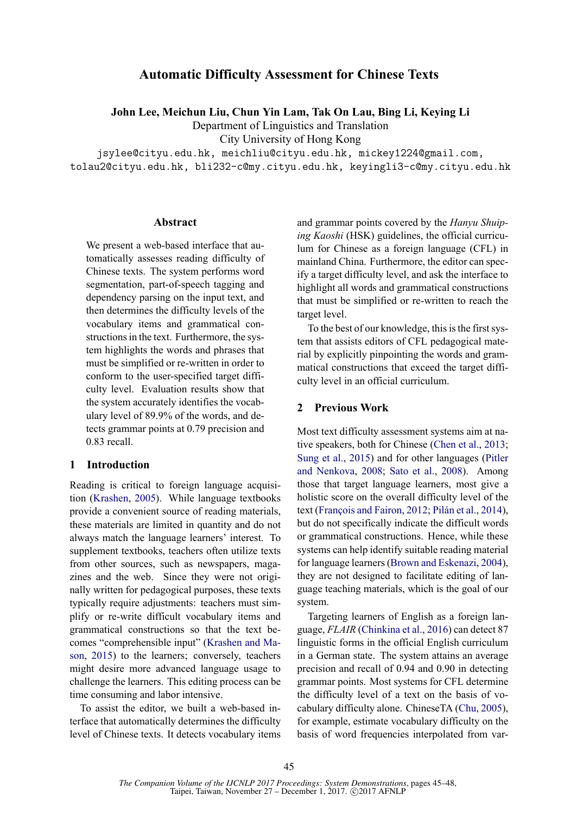## **Automatic Difficulty Assessment for Chinese Texts**

**John Lee, Meichun Liu, Chun Yin Lam, Tak On Lau, Bing Li, Keying Li**

Department of Linguistics and Translation City University of Hong Kong

jsylee@cityu.edu.hk, meichliu@cityu.edu.hk, mickey1224@gmail.com, tolau2@cityu.edu.hk, bli232-c@my.cityu.edu.hk, keyingli3-c@my.cityu.edu.hk

### **Abstract**

We present a web-based interface that automatically assesses reading difficulty of Chinese texts. The system performs word segmentation, part-of-speech tagging and dependency parsing on the input text, and then determines the difficulty levels of the vocabulary items and grammatical constructions in the text. Furthermore, the system highlights the words and phrases that must be simplified or re-written in order to conform to the user-specified target difficulty level. Evaluation results show that the system accurately identifies the vocabulary level of 89.9% of the words, and detects grammar points at 0.79 precision and 0.83 recall.

### **1 Introduction**

Reading is critical to foreign language acquisition (Krashen, 2005). While language textbooks provide a convenient source of reading materials, these materials are limited in quantity and do not always match the language learners' interest. To supplement textbooks, teachers often utilize texts from other sources, such as newspapers, magazines and the web. Since they were not originally written for pedagogical purposes, these texts typically require adjustments: teachers must simplify or re-write difficult vocabulary items and grammatical constructions so that the text becomes "comprehensible input" (Krashen and Mason, 2015) to the learners; conversely, teachers might desire more advanced language usage to challenge the learners. This editing process can be time consuming and labor intensive.

To assist the editor, we built a web-based interface that automatically determines the difficulty level of Chinese texts. It detects vocabulary items and grammar points covered by the *Hanyu Shuiping Kaoshi* (HSK) guidelines, the official curriculum for Chinese as a foreign language (CFL) in mainland China. Furthermore, the editor can specify a target difficulty level, and ask the interface to highlight all words and grammatical constructions that must be simplified or re-written to reach the target level.

To the best of our knowledge, this is the first system that assists editors of CFL pedagogical material by explicitly pinpointing the words and grammatical constructions that exceed the target difficulty level in an official curriculum.

## **2 Previous Work**

Most text difficulty assessment systems aim at native speakers, both for Chinese (Chen et al., 2013; Sung et al., 2015) and for other languages (Pitler and Nenkova, 2008; Sato et al., 2008). Among those that target language learners, most give a holistic score on the overall difficulty level of the text (François and Fairon, 2012; Pilán et al., 2014), but do not specifically indicate the difficult words or grammatical constructions. Hence, while these systems can help identify suitable reading material for language learners (Brown and Eskenazi, 2004), they are not designed to facilitate editing of language teaching materials, which is the goal of our system.

Targeting learners of English as a foreign language, *FLAIR* (Chinkina et al., 2016) can detect 87 linguistic forms in the official English curriculum in a German state. The system attains an average precision and recall of 0.94 and 0.90 in detecting grammar points. Most systems for CFL determine the difficulty level of a text on the basis of vocabulary difficulty alone. ChineseTA (Chu, 2005), for example, estimate vocabulary difficulty on the basis of word frequencies interpolated from var-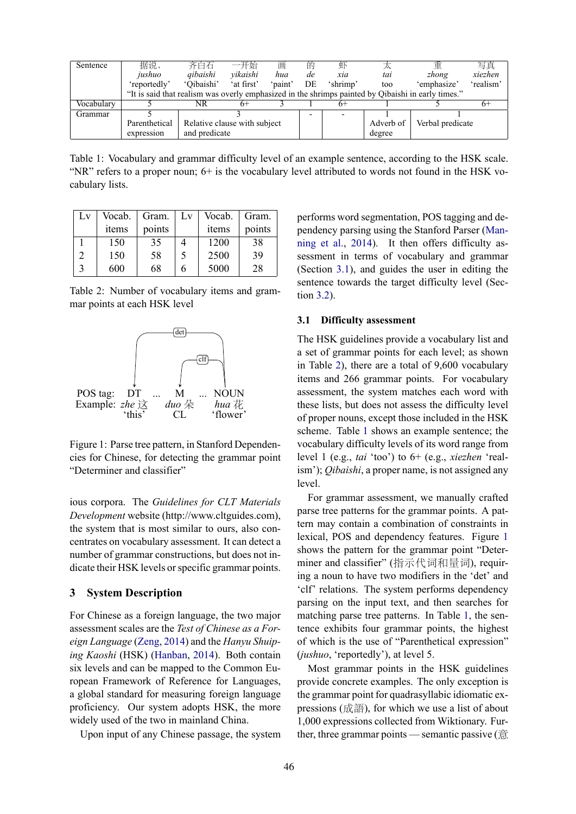| Sentence   | 据说,           | 齐白石                          | 一开始      | 画       | 的  | 虾        |           | 重                                                                                                  | 写真        |
|------------|---------------|------------------------------|----------|---------|----|----------|-----------|----------------------------------------------------------------------------------------------------|-----------|
|            | jushuo        | gibaishi                     | vikaishi | hua     | de | xia      | tai       | zhong                                                                                              | xiezhen   |
|            | 'reportedly'  | 'Oibaishi' 'at first'        |          | 'paint' | DE | 'shrimp' | too       | 'emphasize'                                                                                        | 'realism' |
|            |               |                              |          |         |    |          |           | "It is said that realism was overly emphasized in the shrimps painted by Qibaishi in early times." |           |
| Vocabulary |               | NR                           |          |         |    | 6+       |           |                                                                                                    | n+        |
| Grammar    |               |                              |          |         |    |          |           |                                                                                                    |           |
|            | Parenthetical | Relative clause with subject |          |         |    |          | Adverb of | Verbal predicate                                                                                   |           |
|            | expression    | and predicate                |          |         |    |          | degree    |                                                                                                    |           |

Table 1: Vocabulary and grammar difficulty level of an example sentence, according to the HSK scale. "NR" refers to a proper noun; 6+ is the vocabulary level attributed to words not found in the HSK vocabulary lists.

| Lv | Vocab. | Gram.  | $\mathbf{L} \mathbf{v}$ | Vocab. | Gram.  |
|----|--------|--------|-------------------------|--------|--------|
|    | items  | points |                         | items  | points |
|    | 150    | 35     |                         | 1200   | 38     |
|    | 150    | 58     | 5                       | 2500   | 39     |
|    | 600    | 68     | 6                       | 5000   | 28     |

Table 2: Number of vocabulary items and grammar points at each HSK level



Figure 1: Parse tree pattern, in Stanford Dependencies for Chinese, for detecting the grammar point "Determiner and classifier"

ious corpora. The *Guidelines for CLT Materials Development* website (http://www.cltguides.com), the system that is most similar to ours, also concentrates on vocabulary assessment. It can detect a number of grammar constructions, but does not indicate their HSK levels or specific grammar points.

## **3 System Description**

For Chinese as a foreign language, the two major assessment scales are the *Test of Chinese as a Foreign Language* (Zeng, 2014) and the *Hanyu Shuiping Kaoshi* (HSK) (Hanban, 2014). Both contain six levels and can be mapped to the Common European Framework of Reference for Languages, a global standard for measuring foreign language proficiency. Our system adopts HSK, the more widely used of the two in mainland China.

Upon input of any Chinese passage, the system

performs word segmentation, POS tagging and dependency parsing using the Stanford Parser (Manning et al., 2014). It then offers difficulty assessment in terms of vocabulary and grammar (Section 3.1), and guides the user in editing the sentence towards the target difficulty level (Section 3.2).

### **3.1 Difficulty assessment**

The HSK guidelines provide a vocabulary list and a set of grammar points for each level; as shown in Table 2), there are a total of 9,600 vocabulary items and 266 grammar points. For vocabulary assessment, the system matches each word with these lists, but does not assess the difficulty level of proper nouns, except those included in the HSK scheme. Table 1 shows an example sentence; the vocabulary difficulty levels of its word range from level 1 (e.g., *tai* 'too') to 6+ (e.g., *xiezhen* 'realism'); *Qibaishi*, a proper name, is not assigned any level.

For grammar assessment, we manually crafted parse tree patterns for the grammar points. A pattern may contain a combination of constraints in lexical, POS and dependency features. Figure 1 shows the pattern for the grammar point "Determiner and classifier" (指示代词和量词), requiring a noun to have two modifiers in the 'det' and 'clf' relations. The system performs dependency parsing on the input text, and then searches for matching parse tree patterns. In Table 1, the sentence exhibits four grammar points, the highest of which is the use of "Parenthetical expression" (*jushuo*, 'reportedly'), at level 5.

Most grammar points in the HSK guidelines provide concrete examples. The only exception is the grammar point for quadrasyllabic idiomatic expressions (成語), for which we use a list of about 1,000 expressions collected from Wiktionary. Further, three grammar points — semantic passive (意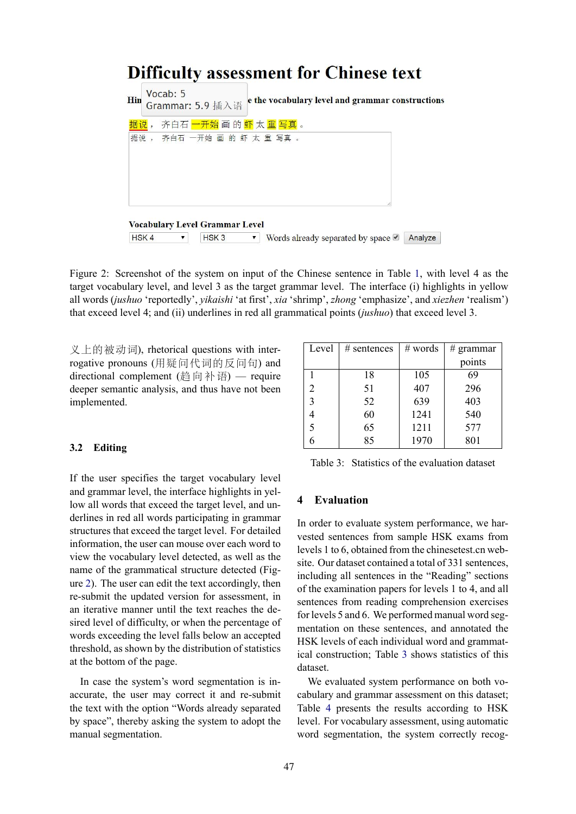# **Difficulty assessment for Chinese text**

| Hin |                  | Vocab: 5 | Grammar: 5.9 插入语                      |   | e the vocabulary level and grammar constructions           |
|-----|------------------|----------|---------------------------------------|---|------------------------------------------------------------|
|     | 据说,              |          |                                       |   | 齐白石 一开始 画 的 虾 太 重 写真 。                                     |
|     |                  |          | 据说, 齐白石 一开始 画 的 虾 太 重 写真 。            |   |                                                            |
|     |                  |          |                                       |   |                                                            |
|     |                  |          |                                       |   |                                                            |
|     |                  |          | <b>Vocabulary Level Grammar Level</b> |   |                                                            |
|     | HSK <sub>4</sub> |          | HSK <sub>3</sub>                      | ▼ | Words already separated by space $\blacksquare$<br>Analyze |

Figure 2: Screenshot of the system on input of the Chinese sentence in Table 1, with level 4 as the target vocabulary level, and level 3 as the target grammar level. The interface (i) highlights in yellow all words (*jushuo* 'reportedly', *yikaishi* 'at first', *xia* 'shrimp', *zhong* 'emphasize', and *xiezhen* 'realism') that exceed level 4; and (ii) underlines in red all grammatical points (*jushuo*) that exceed level 3.

义上的被动词), rhetorical questions with interrogative pronouns (用疑问代词的反问句) and directional complement (趋向补语) — require deeper semantic analysis, and thus have not been implemented.

## **3.2 Editing**

If the user specifies the target vocabulary level and grammar level, the interface highlights in yellow all words that exceed the target level, and underlines in red all words participating in grammar structures that exceed the target level. For detailed information, the user can mouse over each word to view the vocabulary level detected, as well as the name of the grammatical structure detected (Figure 2). The user can edit the text accordingly, then re-submit the updated version for assessment, in an iterative manner until the text reaches the desired level of difficulty, or when the percentage of words exceeding the level falls below an accepted threshold, as shown by the distribution of statistics at the bottom of the page.

In case the system's word segmentation is inaccurate, the user may correct it and re-submit the text with the option "Words already separated by space", thereby asking the system to adopt the manual segmentation.

| Level | # sentences | $#$ words | # grammar |
|-------|-------------|-----------|-----------|
|       |             |           | points    |
|       | 18          | 105       | 69        |
| 2     | 51          | 407       | 296       |
| 3     | 52          | 639       | 403       |
| 4     | 60          | 1241      | 540       |
| 5     | 65          | 1211      | 577       |
| 6     | 85          | 1970      | 801       |

Table 3: Statistics of the evaluation dataset

## **4 Evaluation**

In order to evaluate system performance, we harvested sentences from sample HSK exams from levels 1 to 6, obtained from the chinesetest.cn website. Our dataset contained a total of 331 sentences, including all sentences in the "Reading" sections of the examination papers for levels 1 to 4, and all sentences from reading comprehension exercises for levels 5 and 6. We performed manual word segmentation on these sentences, and annotated the HSK levels of each individual word and grammatical construction; Table 3 shows statistics of this dataset.

We evaluated system performance on both vocabulary and grammar assessment on this dataset; Table 4 presents the results according to HSK level. For vocabulary assessment, using automatic word segmentation, the system correctly recog-